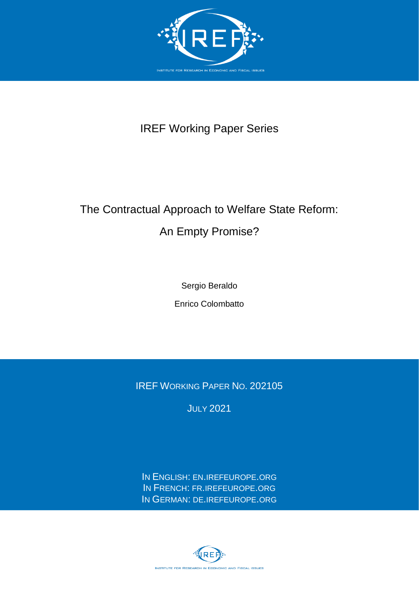

## IREF Working Paper Series

# The Contractual Approach to Welfare State Reform: An Empty Promise?

Sergio Beraldo

Enrico Colombatto

IREF WORKING PAPER NO. 202105

**JULY 2021** 

IN ENGLISH: EN.[IREFEUROPE](http://en.irefeurope.org/).ORG IN FRENCH: FR.[IREFEUROPE](http://fr.irefeurope.org/).ORG IN GERMAN: DE.[IREFEUROPE](http://de.irefeurope.org/).ORG

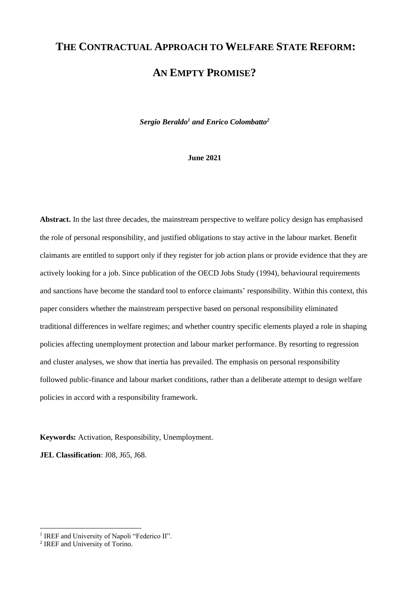# **THE CONTRACTUAL APPROACH TO WELFARE STATE REFORM: AN EMPTY PROMISE?**

*Sergio Beraldo<sup>1</sup> and Enrico Colombatto<sup>2</sup>*

#### **June 2021**

**Abstract.** In the last three decades, the mainstream perspective to welfare policy design has emphasised the role of personal responsibility, and justified obligations to stay active in the labour market. Benefit claimants are entitled to support only if they register for job action plans or provide evidence that they are actively looking for a job. Since publication of the OECD Jobs Study (1994), behavioural requirements and sanctions have become the standard tool to enforce claimants' responsibility. Within this context, this paper considers whether the mainstream perspective based on personal responsibility eliminated traditional differences in welfare regimes; and whether country specific elements played a role in shaping policies affecting unemployment protection and labour market performance. By resorting to regression and cluster analyses, we show that inertia has prevailed. The emphasis on personal responsibility followed public-finance and labour market conditions, rather than a deliberate attempt to design welfare policies in accord with a responsibility framework.

**Keywords:** Activation, Responsibility, Unemployment.

**JEL Classification**: J08, J65, J68.

<sup>&</sup>lt;sup>1</sup> IREF and University of Napoli "Federico II".

<sup>&</sup>lt;sup>2</sup> IREF and University of Torino.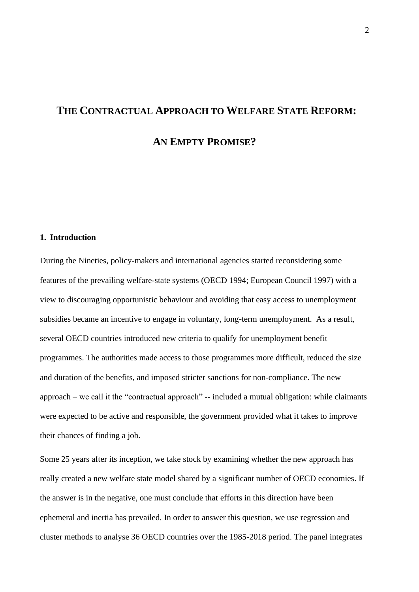# **THE CONTRACTUAL APPROACH TO WELFARE STATE REFORM: AN EMPTY PROMISE?**

#### **1. Introduction**

During the Nineties, policy-makers and international agencies started reconsidering some features of the prevailing welfare-state systems (OECD 1994; European Council 1997) with a view to discouraging opportunistic behaviour and avoiding that easy access to unemployment subsidies became an incentive to engage in voluntary, long-term unemployment. As a result, several OECD countries introduced new criteria to qualify for unemployment benefit programmes. The authorities made access to those programmes more difficult, reduced the size and duration of the benefits, and imposed stricter sanctions for non-compliance. The new approach – we call it the "contractual approach" -- included a mutual obligation: while claimants were expected to be active and responsible, the government provided what it takes to improve their chances of finding a job.

Some 25 years after its inception, we take stock by examining whether the new approach has really created a new welfare state model shared by a significant number of OECD economies. If the answer is in the negative, one must conclude that efforts in this direction have been ephemeral and inertia has prevailed. In order to answer this question, we use regression and cluster methods to analyse 36 OECD countries over the 1985-2018 period. The panel integrates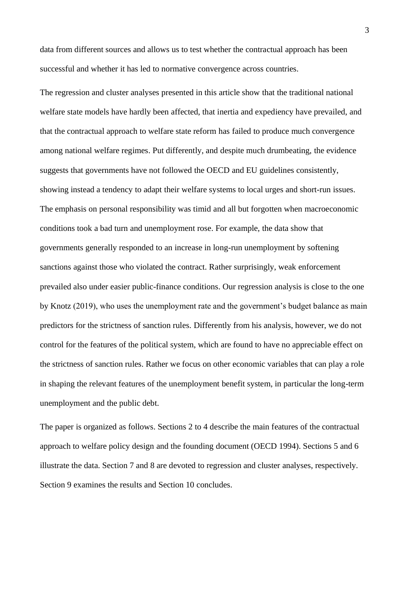data from different sources and allows us to test whether the contractual approach has been successful and whether it has led to normative convergence across countries.

The regression and cluster analyses presented in this article show that the traditional national welfare state models have hardly been affected, that inertia and expediency have prevailed, and that the contractual approach to welfare state reform has failed to produce much convergence among national welfare regimes. Put differently, and despite much drumbeating, the evidence suggests that governments have not followed the OECD and EU guidelines consistently, showing instead a tendency to adapt their welfare systems to local urges and short-run issues. The emphasis on personal responsibility was timid and all but forgotten when macroeconomic conditions took a bad turn and unemployment rose. For example, the data show that governments generally responded to an increase in long-run unemployment by softening sanctions against those who violated the contract. Rather surprisingly, weak enforcement prevailed also under easier public-finance conditions. Our regression analysis is close to the one by Knotz (2019), who uses the unemployment rate and the government's budget balance as main predictors for the strictness of sanction rules. Differently from his analysis, however, we do not control for the features of the political system, which are found to have no appreciable effect on the strictness of sanction rules. Rather we focus on other economic variables that can play a role in shaping the relevant features of the unemployment benefit system, in particular the long-term unemployment and the public debt.

The paper is organized as follows. Sections 2 to 4 describe the main features of the contractual approach to welfare policy design and the founding document (OECD 1994). Sections 5 and 6 illustrate the data. Section 7 and 8 are devoted to regression and cluster analyses, respectively. Section 9 examines the results and Section 10 concludes.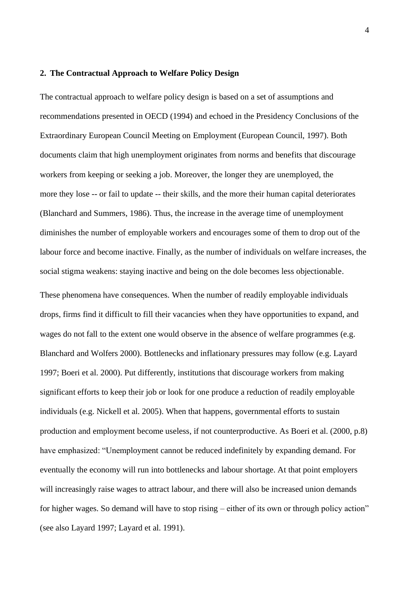#### **2. The Contractual Approach to Welfare Policy Design**

The contractual approach to welfare policy design is based on a set of assumptions and recommendations presented in OECD (1994) and echoed in the Presidency Conclusions of the Extraordinary European Council Meeting on Employment (European Council, 1997). Both documents claim that high unemployment originates from norms and benefits that discourage workers from keeping or seeking a job. Moreover, the longer they are unemployed, the more they lose -- or fail to update -- their skills, and the more their human capital deteriorates (Blanchard and Summers, 1986). Thus, the increase in the average time of unemployment diminishes the number of employable workers and encourages some of them to drop out of the labour force and become inactive. Finally, as the number of individuals on welfare increases, the social stigma weakens: staying inactive and being on the dole becomes less objectionable.

These phenomena have consequences. When the number of readily employable individuals drops, firms find it difficult to fill their vacancies when they have opportunities to expand, and wages do not fall to the extent one would observe in the absence of welfare programmes (e.g. Blanchard and Wolfers 2000). Bottlenecks and inflationary pressures may follow (e.g. Layard 1997; Boeri et al. 2000). Put differently, institutions that discourage workers from making significant efforts to keep their job or look for one produce a reduction of readily employable individuals (e.g. Nickell et al. 2005). When that happens, governmental efforts to sustain production and employment become useless, if not counterproductive. As Boeri et al. (2000, p.8) have emphasized: "Unemployment cannot be reduced indefinitely by expanding demand. For eventually the economy will run into bottlenecks and labour shortage. At that point employers will increasingly raise wages to attract labour, and there will also be increased union demands for higher wages. So demand will have to stop rising – either of its own or through policy action" (see also Layard 1997; Layard et al. 1991).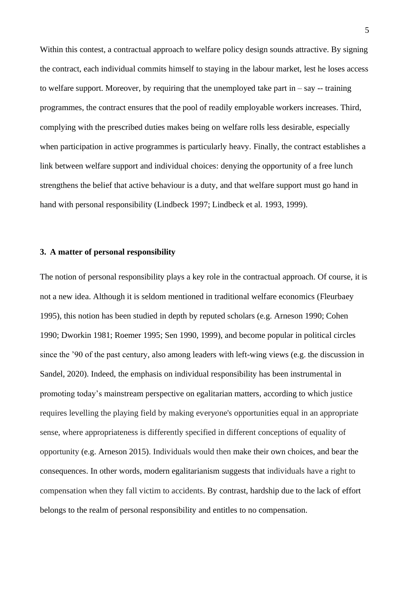Within this contest, a contractual approach to welfare policy design sounds attractive. By signing the contract, each individual commits himself to staying in the labour market, lest he loses access to welfare support. Moreover, by requiring that the unemployed take part in  $-$  say  $-$  training programmes, the contract ensures that the pool of readily employable workers increases. Third, complying with the prescribed duties makes being on welfare rolls less desirable, especially when participation in active programmes is particularly heavy. Finally, the contract establishes a link between welfare support and individual choices: denying the opportunity of a free lunch strengthens the belief that active behaviour is a duty, and that welfare support must go hand in hand with personal responsibility (Lindbeck 1997; Lindbeck et al. 1993, 1999).

#### **3. A matter of personal responsibility**

The notion of personal responsibility plays a key role in the contractual approach. Of course, it is not a new idea. Although it is seldom mentioned in traditional welfare economics (Fleurbaey 1995), this notion has been studied in depth by reputed scholars (e.g. Arneson 1990; Cohen 1990; Dworkin 1981; Roemer 1995; Sen 1990, 1999), and become popular in political circles since the '90 of the past century, also among leaders with left-wing views (e.g. the discussion in Sandel, 2020). Indeed, the emphasis on individual responsibility has been instrumental in promoting today's mainstream perspective on egalitarian matters, according to which justice requires levelling the playing field by making everyone's opportunities equal in an appropriate sense, where appropriateness is differently specified in different conceptions of equality of opportunity (e.g. Arneson 2015). Individuals would then make their own choices, and bear the consequences. In other words, modern egalitarianism suggests that individuals have a right to compensation when they fall victim to accidents. By contrast, hardship due to the lack of effort belongs to the realm of personal responsibility and entitles to no compensation.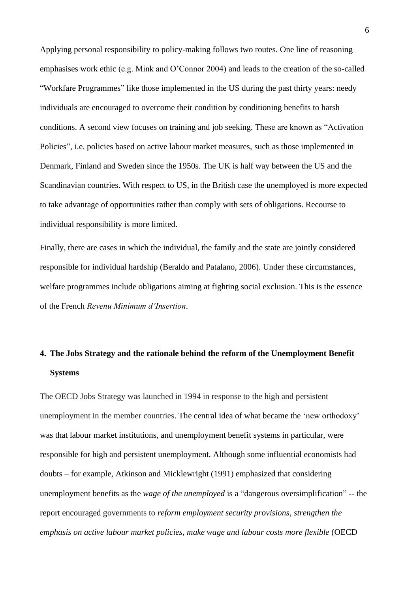Applying personal responsibility to policy-making follows two routes. One line of reasoning emphasises work ethic (e.g. Mink and O'Connor 2004) and leads to the creation of the so-called "Workfare Programmes" like those implemented in the US during the past thirty years: needy individuals are encouraged to overcome their condition by conditioning benefits to harsh conditions. A second view focuses on training and job seeking. These are known as "Activation Policies", i.e. policies based on active labour market measures, such as those implemented in Denmark, Finland and Sweden since the 1950s. The UK is half way between the US and the Scandinavian countries. With respect to US, in the British case the unemployed is more expected to take advantage of opportunities rather than comply with sets of obligations. Recourse to individual responsibility is more limited.

Finally, there are cases in which the individual, the family and the state are jointly considered responsible for individual hardship (Beraldo and Patalano, 2006). Under these circumstances, welfare programmes include obligations aiming at fighting social exclusion. This is the essence of the French *Revenu Minimum d'Insertion*.

## **4. The Jobs Strategy and the rationale behind the reform of the Unemployment Benefit Systems**

The OECD Jobs Strategy was launched in 1994 in response to the high and persistent unemployment in the member countries. The central idea of what became the 'new orthodoxy' was that labour market institutions, and unemployment benefit systems in particular, were responsible for high and persistent unemployment. Although some influential economists had doubts – for example, Atkinson and Micklewright (1991) emphasized that considering unemployment benefits as the *wage of the unemployed* is a "dangerous oversimplification" -- the report encouraged governments to *reform employment security provisions*, *strengthen the emphasis on active labour market policies*, *make wage and labour costs more flexible* (OECD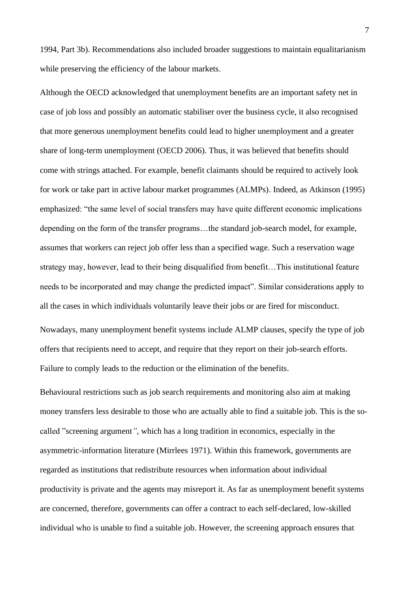1994, Part 3b). Recommendations also included broader suggestions to maintain equalitarianism while preserving the efficiency of the labour markets.

Although the OECD acknowledged that unemployment benefits are an important safety net in case of job loss and possibly an automatic stabiliser over the business cycle, it also recognised that more generous unemployment benefits could lead to higher unemployment and a greater share of long-term unemployment (OECD 2006). Thus, it was believed that benefits should come with strings attached. For example, benefit claimants should be required to actively look for work or take part in active labour market programmes (ALMPs). Indeed, as Atkinson (1995) emphasized: "the same level of social transfers may have quite different economic implications depending on the form of the transfer programs…the standard job-search model, for example, assumes that workers can reject job offer less than a specified wage. Such a reservation wage strategy may, however, lead to their being disqualified from benefit…This institutional feature needs to be incorporated and may change the predicted impact". Similar considerations apply to all the cases in which individuals voluntarily leave their jobs or are fired for misconduct. Nowadays, many unemployment benefit systems include ALMP clauses, specify the type of job offers that recipients need to accept, and require that they report on their job-search efforts.

Failure to comply leads to the reduction or the elimination of the benefits.

Behavioural restrictions such as job search requirements and monitoring also aim at making money transfers less desirable to those who are actually able to find a suitable job. This is the socalled "screening argument*"*, which has a long tradition in economics, especially in the asymmetric-information literature (Mirrlees 1971). Within this framework, governments are regarded as institutions that redistribute resources when information about individual productivity is private and the agents may misreport it. As far as unemployment benefit systems are concerned, therefore, governments can offer a contract to each self-declared, low-skilled individual who is unable to find a suitable job. However, the screening approach ensures that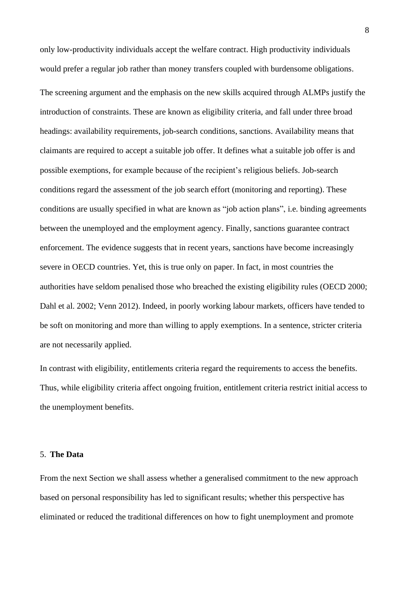only low-productivity individuals accept the welfare contract. High productivity individuals would prefer a regular job rather than money transfers coupled with burdensome obligations.

The screening argument and the emphasis on the new skills acquired through ALMPs justify the introduction of constraints. These are known as eligibility criteria, and fall under three broad headings: availability requirements, job-search conditions, sanctions. Availability means that claimants are required to accept a suitable job offer. It defines what a suitable job offer is and possible exemptions, for example because of the recipient's religious beliefs. Job-search conditions regard the assessment of the job search effort (monitoring and reporting). These conditions are usually specified in what are known as "job action plans", i.e. binding agreements between the unemployed and the employment agency. Finally, sanctions guarantee contract enforcement. The evidence suggests that in recent years, sanctions have become increasingly severe in OECD countries. Yet, this is true only on paper. In fact, in most countries the authorities have seldom penalised those who breached the existing eligibility rules (OECD 2000; Dahl et al. 2002; Venn 2012). Indeed, in poorly working labour markets, officers have tended to be soft on monitoring and more than willing to apply exemptions. In a sentence, stricter criteria are not necessarily applied.

In contrast with eligibility, entitlements criteria regard the requirements to access the benefits. Thus, while eligibility criteria affect ongoing fruition, entitlement criteria restrict initial access to the unemployment benefits.

#### 5. **The Data**

From the next Section we shall assess whether a generalised commitment to the new approach based on personal responsibility has led to significant results; whether this perspective has eliminated or reduced the traditional differences on how to fight unemployment and promote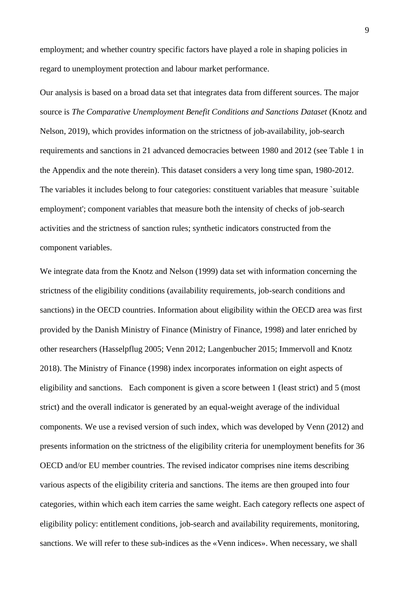employment; and whether country specific factors have played a role in shaping policies in regard to unemployment protection and labour market performance.

Our analysis is based on a broad data set that integrates data from different sources. The major source is *The Comparative Unemployment Benefit Conditions and Sanctions Dataset* (Knotz and Nelson, 2019), which provides information on the strictness of job-availability, job-search requirements and sanctions in 21 advanced democracies between 1980 and 2012 (see Table 1 in the Appendix and the note therein). This dataset considers a very long time span, 1980-2012. The variables it includes belong to four categories: constituent variables that measure `suitable employment'; component variables that measure both the intensity of checks of job-search activities and the strictness of sanction rules; synthetic indicators constructed from the component variables.

We integrate data from the Knotz and Nelson (1999) data set with information concerning the strictness of the eligibility conditions (availability requirements, job-search conditions and sanctions) in the OECD countries. Information about eligibility within the OECD area was first provided by the Danish Ministry of Finance (Ministry of Finance, 1998) and later enriched by other researchers (Hasselpflug 2005; Venn 2012; Langenbucher 2015; Immervoll and Knotz 2018). The Ministry of Finance (1998) index incorporates information on eight aspects of eligibility and sanctions. Each component is given a score between 1 (least strict) and 5 (most strict) and the overall indicator is generated by an equal-weight average of the individual components. We use a revised version of such index, which was developed by Venn (2012) and presents information on the strictness of the eligibility criteria for unemployment benefits for 36 OECD and/or EU member countries. The revised indicator comprises nine items describing various aspects of the eligibility criteria and sanctions. The items are then grouped into four categories, within which each item carries the same weight. Each category reflects one aspect of eligibility policy: entitlement conditions, job-search and availability requirements, monitoring, sanctions. We will refer to these sub-indices as the «Venn indices». When necessary, we shall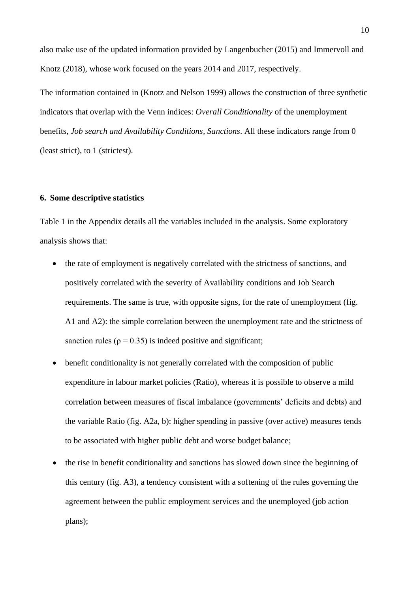also make use of the updated information provided by Langenbucher (2015) and Immervoll and Knotz (2018), whose work focused on the years 2014 and 2017, respectively.

The information contained in (Knotz and Nelson 1999) allows the construction of three synthetic indicators that overlap with the Venn indices: *Overall Conditionality* of the unemployment benefits, *Job search and Availability Conditions, Sanctions*. All these indicators range from 0 (least strict), to 1 (strictest).

#### **6. Some descriptive statistics**

Table 1 in the Appendix details all the variables included in the analysis. Some exploratory analysis shows that:

- the rate of employment is negatively correlated with the strictness of sanctions, and positively correlated with the severity of Availability conditions and Job Search requirements. The same is true, with opposite signs, for the rate of unemployment (fig. A1 and A2): the simple correlation between the unemployment rate and the strictness of sanction rules ( $\rho = 0.35$ ) is indeed positive and significant;
- benefit conditionality is not generally correlated with the composition of public expenditure in labour market policies (Ratio), whereas it is possible to observe a mild correlation between measures of fiscal imbalance (governments' deficits and debts) and the variable Ratio (fig. A2a, b): higher spending in passive (over active) measures tends to be associated with higher public debt and worse budget balance;
- the rise in benefit conditionality and sanctions has slowed down since the beginning of this century (fig. A3), a tendency consistent with a softening of the rules governing the agreement between the public employment services and the unemployed (job action plans);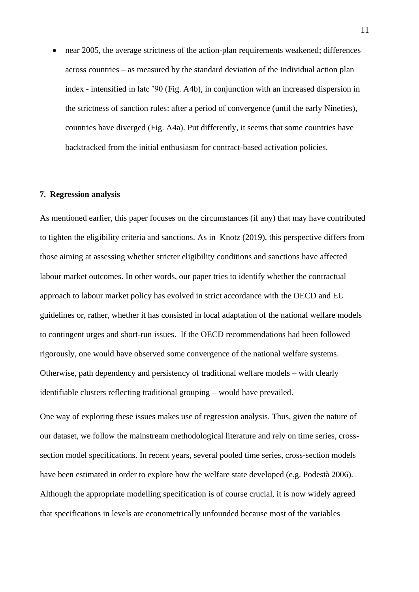• near 2005, the average strictness of the action-plan requirements weakened; differences across countries – as measured by the standard deviation of the Individual action plan index - intensified in late '90 (Fig. A4b), in conjunction with an increased dispersion in the strictness of sanction rules: after a period of convergence (until the early Nineties), countries have diverged (Fig. A4a). Put differently, it seems that some countries have backtracked from the initial enthusiasm for contract-based activation policies.

#### **7. Regression analysis**

As mentioned earlier, this paper focuses on the circumstances (if any) that may have contributed to tighten the eligibility criteria and sanctions. As in Knotz (2019), this perspective differs from those aiming at assessing whether stricter eligibility conditions and sanctions have affected labour market outcomes. In other words, our paper tries to identify whether the contractual approach to labour market policy has evolved in strict accordance with the OECD and EU guidelines or, rather, whether it has consisted in local adaptation of the national welfare models to contingent urges and short-run issues. If the OECD recommendations had been followed rigorously, one would have observed some convergence of the national welfare systems. Otherwise, path dependency and persistency of traditional welfare models – with clearly identifiable clusters reflecting traditional grouping – would have prevailed.

One way of exploring these issues makes use of regression analysis. Thus, given the nature of our dataset, we follow the mainstream methodological literature and rely on time series, crosssection model specifications. In recent years, several pooled time series, cross-section models have been estimated in order to explore how the welfare state developed (e.g. Podestà 2006). Although the appropriate modelling specification is of course crucial, it is now widely agreed that specifications in levels are econometrically unfounded because most of the variables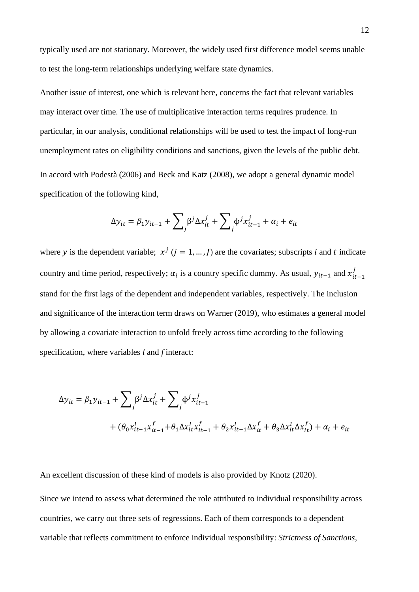typically used are not stationary. Moreover, the widely used first difference model seems unable to test the long-term relationships underlying welfare state dynamics.

Another issue of interest, one which is relevant here, concerns the fact that relevant variables may interact over time. The use of multiplicative interaction terms requires prudence. In particular, in our analysis, conditional relationships will be used to test the impact of long-run unemployment rates on eligibility conditions and sanctions, given the levels of the public debt. In accord with Podestà (2006) and Beck and Katz (2008), we adopt a general dynamic model specification of the following kind,

$$
\Delta y_{it} = \beta_1 y_{it-1} + \sum_j \beta^j \Delta x_{it}^j + \sum_j \phi^j x_{it-1}^j + \alpha_i + e_{it}
$$

where y is the dependent variable;  $x^{j}$  ( $j = 1, ..., J$ ) are the covariates; subscripts *i* and *t* indicate country and time period, respectively;  $\alpha_i$  is a country specific dummy. As usual,  $y_{it-1}$  and  $x_{it-1}^j$ stand for the first lags of the dependent and independent variables, respectively. The inclusion and significance of the interaction term draws on Warner (2019), who estimates a general model by allowing a covariate interaction to unfold freely across time according to the following specification, where variables *l* and *f* interact:

$$
\Delta y_{it} = \beta_1 y_{it-1} + \sum_j \beta^j \Delta x_{it}^j + \sum_j \phi^j x_{it-1}^j + (\theta_0 x_{it-1}^l x_{it-1}^f + \theta_1 \Delta x_{it}^l x_{it-1}^f + \theta_2 x_{it-1}^l \Delta x_{it}^f + \theta_3 \Delta x_{it}^l \Delta x_{it}^f) + \alpha_i + e_{it}
$$

An excellent discussion of these kind of models is also provided by Knotz (2020).

Since we intend to assess what determined the role attributed to individual responsibility across countries, we carry out three sets of regressions. Each of them corresponds to a dependent variable that reflects commitment to enforce individual responsibility: *Strictness of Sanctions,*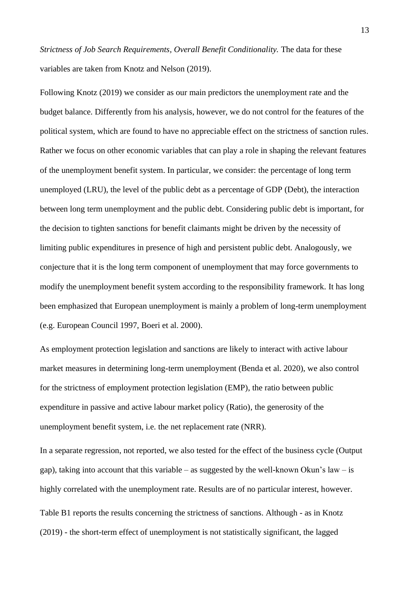*Strictness of Job Search Requirements, Overall Benefit Conditionality.* The data for these variables are taken from Knotz and Nelson (2019).

Following Knotz (2019) we consider as our main predictors the unemployment rate and the budget balance. Differently from his analysis, however, we do not control for the features of the political system, which are found to have no appreciable effect on the strictness of sanction rules. Rather we focus on other economic variables that can play a role in shaping the relevant features of the unemployment benefit system. In particular, we consider: the percentage of long term unemployed (LRU), the level of the public debt as a percentage of GDP (Debt), the interaction between long term unemployment and the public debt. Considering public debt is important, for the decision to tighten sanctions for benefit claimants might be driven by the necessity of limiting public expenditures in presence of high and persistent public debt. Analogously, we conjecture that it is the long term component of unemployment that may force governments to modify the unemployment benefit system according to the responsibility framework. It has long been emphasized that European unemployment is mainly a problem of long-term unemployment (e.g. European Council 1997, Boeri et al. 2000).

As employment protection legislation and sanctions are likely to interact with active labour market measures in determining long-term unemployment (Benda et al. 2020), we also control for the strictness of employment protection legislation (EMP), the ratio between public expenditure in passive and active labour market policy (Ratio), the generosity of the unemployment benefit system, i.e. the net replacement rate (NRR).

In a separate regression, not reported, we also tested for the effect of the business cycle (Output gap), taking into account that this variable – as suggested by the well-known Okun's law – is highly correlated with the unemployment rate. Results are of no particular interest, however. Table B1 reports the results concerning the strictness of sanctions. Although - as in Knotz (2019) - the short-term effect of unemployment is not statistically significant, the lagged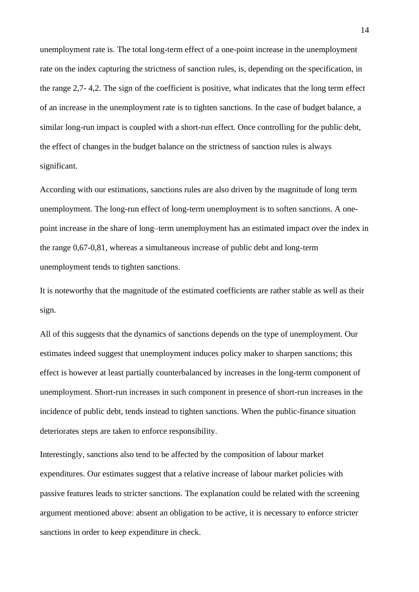unemployment rate is. The total long-term effect of a one-point increase in the unemployment rate on the index capturing the strictness of sanction rules, is, depending on the specification, in the range 2,7- 4,2. The sign of the coefficient is positive, what indicates that the long term effect of an increase in the unemployment rate is to tighten sanctions. In the case of budget balance, a similar long-run impact is coupled with a short-run effect. Once controlling for the public debt, the effect of changes in the budget balance on the strictness of sanction rules is always significant.

According with our estimations, sanctions rules are also driven by the magnitude of long term unemployment. The long-run effect of long-term unemployment is to soften sanctions. A onepoint increase in the share of long–term unemployment has an estimated impact over the index in the range 0,67-0,81, whereas a simultaneous increase of public debt and long-term unemployment tends to tighten sanctions.

It is noteworthy that the magnitude of the estimated coefficients are rather stable as well as their sign.

All of this suggests that the dynamics of sanctions depends on the type of unemployment. Our estimates indeed suggest that unemployment induces policy maker to sharpen sanctions; this effect is however at least partially counterbalanced by increases in the long-term component of unemployment. Short-run increases in such component in presence of short-run increases in the incidence of public debt, tends instead to tighten sanctions. When the public-finance situation deteriorates steps are taken to enforce responsibility.

Interestingly, sanctions also tend to be affected by the composition of labour market expenditures. Our estimates suggest that a relative increase of labour market policies with passive features leads to stricter sanctions. The explanation could be related with the screening argument mentioned above: absent an obligation to be active, it is necessary to enforce stricter sanctions in order to keep expenditure in check.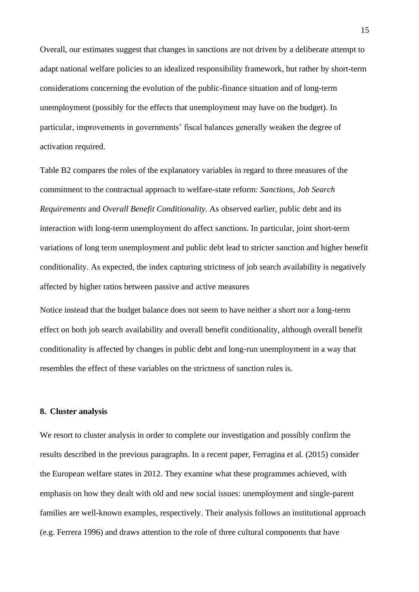Overall, our estimates suggest that changes in sanctions are not driven by a deliberate attempt to adapt national welfare policies to an idealized responsibility framework, but rather by short-term considerations concerning the evolution of the public-finance situation and of long-term unemployment (possibly for the effects that unemployment may have on the budget). In particular, improvements in governments' fiscal balances generally weaken the degree of activation required.

Table B2 compares the roles of the explanatory variables in regard to three measures of the commitment to the contractual approach to welfare-state reform: *Sanctions*, *Job Search Requirements* and *Overall Benefit Conditionality*. As observed earlier, public debt and its interaction with long-term unemployment do affect sanctions. In particular, joint short-term variations of long term unemployment and public debt lead to stricter sanction and higher benefit conditionality. As expected, the index capturing strictness of job search availability is negatively affected by higher ratios between passive and active measures

Notice instead that the budget balance does not seem to have neither a short nor a long-term effect on both job search availability and overall benefit conditionality, although overall benefit conditionality is affected by changes in public debt and long-run unemployment in a way that resembles the effect of these variables on the strictness of sanction rules is.

#### **8. Cluster analysis**

We resort to cluster analysis in order to complete our investigation and possibly confirm the results described in the previous paragraphs. In a recent paper, Ferragina et al. (2015) consider the European welfare states in 2012. They examine what these programmes achieved, with emphasis on how they dealt with old and new social issues: unemployment and single-parent families are well-known examples, respectively. Their analysis follows an institutional approach (e.g. Ferrera 1996) and draws attention to the role of three cultural components that have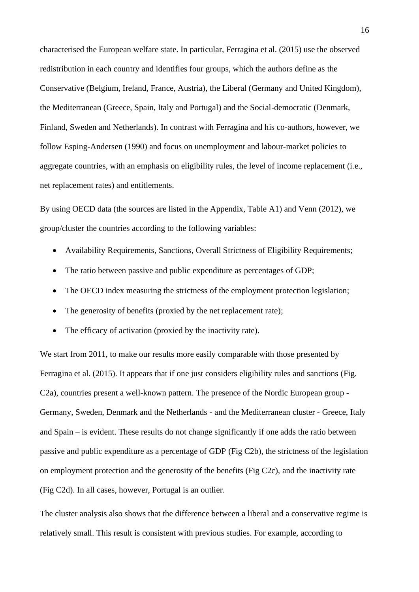characterised the European welfare state. In particular, Ferragina et al. (2015) use the observed redistribution in each country and identifies four groups, which the authors define as the Conservative (Belgium, Ireland, France, Austria), the Liberal (Germany and United Kingdom), the Mediterranean (Greece, Spain, Italy and Portugal) and the Social-democratic (Denmark, Finland, Sweden and Netherlands). In contrast with Ferragina and his co-authors, however, we follow Esping-Andersen (1990) and focus on unemployment and labour-market policies to aggregate countries, with an emphasis on eligibility rules, the level of income replacement (i.e., net replacement rates) and entitlements.

By using OECD data (the sources are listed in the Appendix, Table A1) and Venn (2012), we group/cluster the countries according to the following variables:

- Availability Requirements, Sanctions, Overall Strictness of Eligibility Requirements;
- The ratio between passive and public expenditure as percentages of GDP;
- The OECD index measuring the strictness of the employment protection legislation;
- The generosity of benefits (proxied by the net replacement rate);
- The efficacy of activation (proxied by the inactivity rate).

We start from 2011, to make our results more easily comparable with those presented by Ferragina et al. (2015). It appears that if one just considers eligibility rules and sanctions (Fig. C2a), countries present a well-known pattern. The presence of the Nordic European group - Germany, Sweden, Denmark and the Netherlands - and the Mediterranean cluster - Greece, Italy and Spain – is evident. These results do not change significantly if one adds the ratio between passive and public expenditure as a percentage of GDP (Fig C2b), the strictness of the legislation on employment protection and the generosity of the benefits (Fig C2c), and the inactivity rate (Fig C2d). In all cases, however, Portugal is an outlier.

The cluster analysis also shows that the difference between a liberal and a conservative regime is relatively small. This result is consistent with previous studies. For example, according to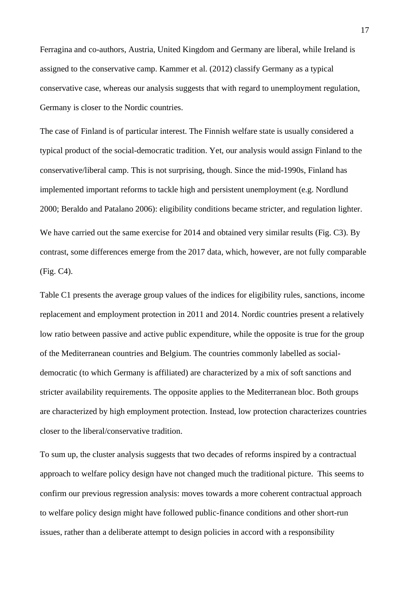Ferragina and co-authors, Austria, United Kingdom and Germany are liberal, while Ireland is assigned to the conservative camp. Kammer et al. (2012) classify Germany as a typical conservative case, whereas our analysis suggests that with regard to unemployment regulation, Germany is closer to the Nordic countries.

The case of Finland is of particular interest. The Finnish welfare state is usually considered a typical product of the social-democratic tradition. Yet, our analysis would assign Finland to the conservative/liberal camp. This is not surprising, though. Since the mid-1990s, Finland has implemented important reforms to tackle high and persistent unemployment (e.g. Nordlund 2000; Beraldo and Patalano 2006): eligibility conditions became stricter, and regulation lighter. We have carried out the same exercise for 2014 and obtained very similar results (Fig. C3). By contrast, some differences emerge from the 2017 data, which, however, are not fully comparable (Fig. C4).

Table C1 presents the average group values of the indices for eligibility rules, sanctions, income replacement and employment protection in 2011 and 2014. Nordic countries present a relatively low ratio between passive and active public expenditure, while the opposite is true for the group of the Mediterranean countries and Belgium. The countries commonly labelled as socialdemocratic (to which Germany is affiliated) are characterized by a mix of soft sanctions and stricter availability requirements. The opposite applies to the Mediterranean bloc. Both groups are characterized by high employment protection. Instead, low protection characterizes countries closer to the liberal/conservative tradition.

To sum up, the cluster analysis suggests that two decades of reforms inspired by a contractual approach to welfare policy design have not changed much the traditional picture. This seems to confirm our previous regression analysis: moves towards a more coherent contractual approach to welfare policy design might have followed public-finance conditions and other short-run issues, rather than a deliberate attempt to design policies in accord with a responsibility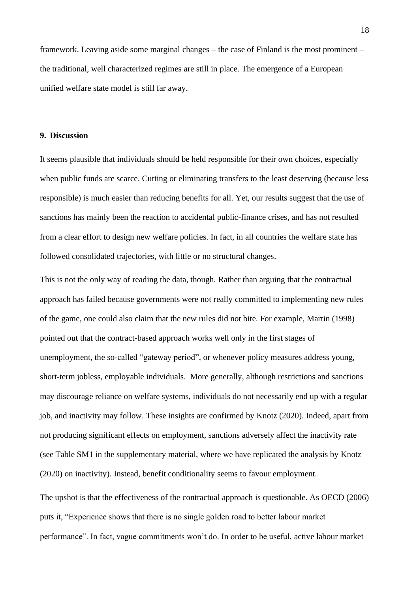framework. Leaving aside some marginal changes – the case of Finland is the most prominent – the traditional, well characterized regimes are still in place. The emergence of a European unified welfare state model is still far away.

#### **9. Discussion**

It seems plausible that individuals should be held responsible for their own choices, especially when public funds are scarce. Cutting or eliminating transfers to the least deserving (because less responsible) is much easier than reducing benefits for all. Yet, our results suggest that the use of sanctions has mainly been the reaction to accidental public-finance crises, and has not resulted from a clear effort to design new welfare policies. In fact, in all countries the welfare state has followed consolidated trajectories, with little or no structural changes.

This is not the only way of reading the data, though. Rather than arguing that the contractual approach has failed because governments were not really committed to implementing new rules of the game, one could also claim that the new rules did not bite. For example, Martin (1998) pointed out that the contract-based approach works well only in the first stages of unemployment, the so-called "gateway period", or whenever policy measures address young, short-term jobless, employable individuals. More generally, although restrictions and sanctions may discourage reliance on welfare systems, individuals do not necessarily end up with a regular job, and inactivity may follow. These insights are confirmed by Knotz (2020). Indeed, apart from not producing significant effects on employment, sanctions adversely affect the inactivity rate (see Table SM1 in the supplementary material, where we have replicated the analysis by Knotz (2020) on inactivity). Instead, benefit conditionality seems to favour employment.

The upshot is that the effectiveness of the contractual approach is questionable. As OECD (2006) puts it, "Experience shows that there is no single golden road to better labour market performance". In fact, vague commitments won't do. In order to be useful, active labour market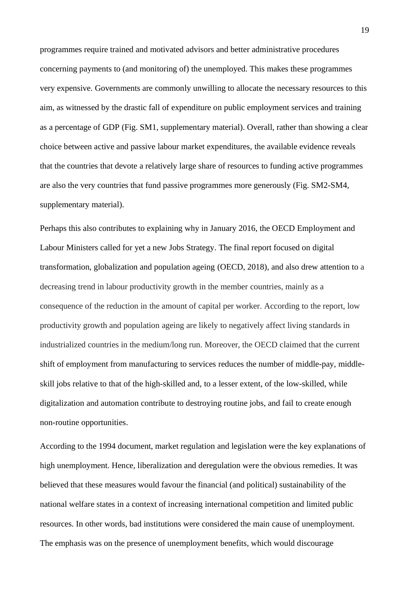programmes require trained and motivated advisors and better administrative procedures concerning payments to (and monitoring of) the unemployed. This makes these programmes very expensive. Governments are commonly unwilling to allocate the necessary resources to this aim, as witnessed by the drastic fall of expenditure on public employment services and training as a percentage of GDP (Fig. SM1, supplementary material). Overall, rather than showing a clear choice between active and passive labour market expenditures, the available evidence reveals that the countries that devote a relatively large share of resources to funding active programmes are also the very countries that fund passive programmes more generously (Fig. SM2-SM4, supplementary material).

Perhaps this also contributes to explaining why in January 2016, the OECD Employment and Labour Ministers called for yet a new Jobs Strategy. The final report focused on digital transformation, globalization and population ageing (OECD, 2018), and also drew attention to a decreasing trend in labour productivity growth in the member countries, mainly as a consequence of the reduction in the amount of capital per worker. According to the report, low productivity growth and population ageing are likely to negatively affect living standards in industrialized countries in the medium/long run. Moreover, the OECD claimed that the current shift of employment from manufacturing to services reduces the number of middle-pay, middleskill jobs relative to that of the high-skilled and, to a lesser extent, of the low-skilled, while digitalization and automation contribute to destroying routine jobs, and fail to create enough non-routine opportunities.

According to the 1994 document, market regulation and legislation were the key explanations of high unemployment. Hence, liberalization and deregulation were the obvious remedies. It was believed that these measures would favour the financial (and political) sustainability of the national welfare states in a context of increasing international competition and limited public resources. In other words, bad institutions were considered the main cause of unemployment. The emphasis was on the presence of unemployment benefits, which would discourage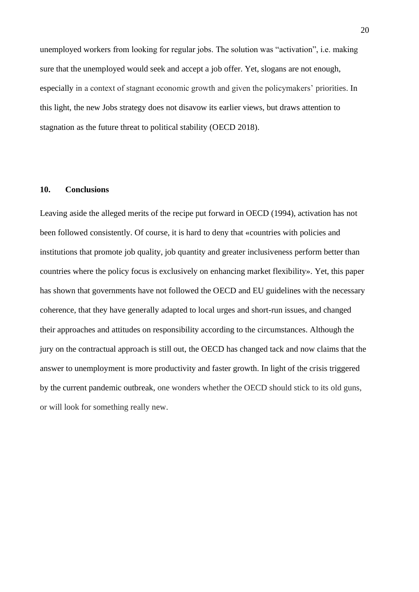unemployed workers from looking for regular jobs. The solution was "activation", i.e. making sure that the unemployed would seek and accept a job offer. Yet, slogans are not enough, especially in a context of stagnant economic growth and given the policymakers' priorities. In this light, the new Jobs strategy does not disavow its earlier views, but draws attention to stagnation as the future threat to political stability (OECD 2018).

#### **10. Conclusions**

Leaving aside the alleged merits of the recipe put forward in OECD (1994), activation has not been followed consistently. Of course, it is hard to deny that «countries with policies and institutions that promote job quality, job quantity and greater inclusiveness perform better than countries where the policy focus is exclusively on enhancing market flexibility». Yet, this paper has shown that governments have not followed the OECD and EU guidelines with the necessary coherence, that they have generally adapted to local urges and short-run issues, and changed their approaches and attitudes on responsibility according to the circumstances. Although the jury on the contractual approach is still out, the OECD has changed tack and now claims that the answer to unemployment is more productivity and faster growth. In light of the crisis triggered by the current pandemic outbreak, one wonders whether the OECD should stick to its old guns, or will look for something really new.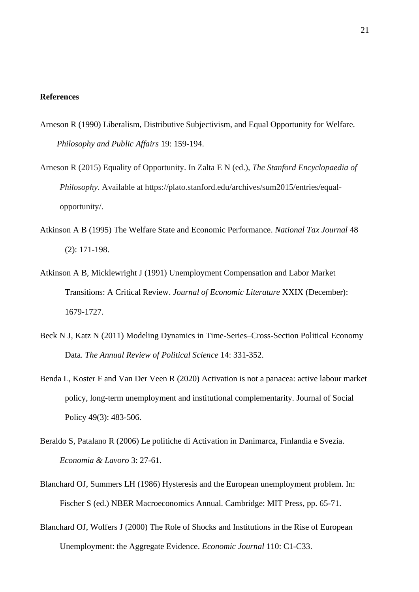#### **References**

- Arneson R (1990) Liberalism, Distributive Subjectivism, and Equal Opportunity for Welfare. *Philosophy and Public Affairs* 19: 159-194.
- Arneson R (2015) Equality of Opportunity. In Zalta E N (ed.), *The Stanford Encyclopaedia of Philosophy*. Available at https://plato.stanford.edu/archives/sum2015/entries/equalopportunity/.
- Atkinson A B (1995) The Welfare State and Economic Performance. *National Tax Journal* 48 (2): 171-198.
- Atkinson A B, Micklewright J (1991) Unemployment Compensation and Labor Market Transitions: A Critical Review. *Journal of Economic Literature* XXIX (December): 1679-1727.
- Beck N J, Katz N (2011) Modeling Dynamics in Time-Series–Cross-Section Political Economy Data. *The Annual Review of Political Science* 14: 331-352.
- Benda L, Koster F and Van Der Veen R (2020) Activation is not a panacea: active labour market policy, long-term unemployment and institutional complementarity. Journal of Social Policy 49(3): 483-506.
- Beraldo S, Patalano R (2006) Le politiche di Activation in Danimarca, Finlandia e Svezia. *Economia & Lavoro* 3: 27-61.
- Blanchard OJ, Summers LH (1986) Hysteresis and the European unemployment problem. In: Fischer S (ed.) NBER Macroeconomics Annual. Cambridge: MIT Press, pp. 65-71.
- Blanchard OJ, Wolfers J (2000) The Role of Shocks and Institutions in the Rise of European Unemployment: the Aggregate Evidence. *Economic Journal* 110: C1-C33.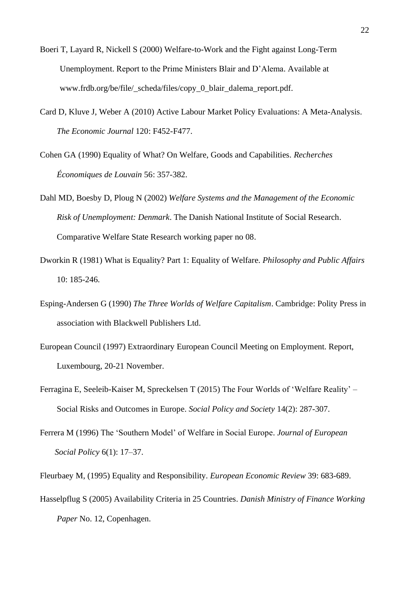- Boeri T, Layard R, Nickell S (2000) Welfare-to-Work and the Fight against Long-Term Unemployment. Report to the Prime Ministers Blair and D'Alema. Available at www.frdb.org/be/file/\_scheda/files/copy\_0\_blair\_dalema\_report.pdf.
- Card D, Kluve J, Weber A (2010) Active Labour Market Policy Evaluations: A Meta-Analysis. *The Economic Journal* 120: F452-F477.
- Cohen GA (1990) Equality of What? On Welfare, Goods and Capabilities. *Recherches Économiques de Louvain* 56: 357-382.
- Dahl MD, Boesby D, Ploug N (2002) *Welfare Systems and the Management of the Economic Risk of Unemployment: Denmark*. The Danish National Institute of Social Research. Comparative Welfare State Research working paper no 08.
- Dworkin R (1981) What is Equality? Part 1: Equality of Welfare. *Philosophy and Public Affairs* 10: 185-246.
- Esping-Andersen G (1990) *The Three Worlds of Welfare Capitalism*. Cambridge: Polity Press in association with Blackwell Publishers Ltd.
- European Council (1997) Extraordinary European Council Meeting on Employment. Report, Luxembourg, 20-21 November.
- Ferragina E, Seeleib-Kaiser M, Spreckelsen T (2015) The Four Worlds of 'Welfare Reality' Social Risks and Outcomes in Europe. *Social Policy and Society* 14(2): 287-307.
- Ferrera M (1996) The 'Southern Model' of Welfare in Social Europe. *Journal of European Social Policy* 6(1): 17–37.
- Fleurbaey M, (1995) Equality and Responsibility. *European Economic Review* 39: 683-689.
- Hasselpflug S (2005) Availability Criteria in 25 Countries. *Danish Ministry of Finance Working Paper* No. 12, Copenhagen.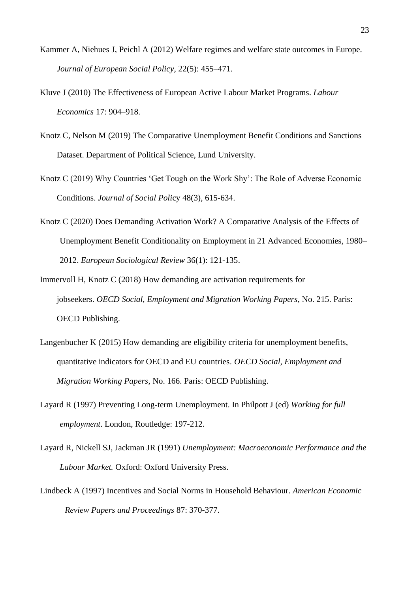- Kammer A, Niehues J, Peichl A (2012) Welfare regimes and welfare state outcomes in Europe. *Journal of European Social Policy*, 22(5): 455–471.
- Kluve J (2010) The Effectiveness of European Active Labour Market Programs. *Labour Economics* 17: 904–918.
- Knotz C, Nelson M (2019) The Comparative Unemployment Benefit Conditions and Sanctions Dataset. Department of Political Science, Lund University.
- Knotz C (2019) Why Countries 'Get Tough on the Work Shy': The Role of Adverse Economic Conditions. *Journal of Social Poli*cy 48(3), 615-634.
- Knotz C (2020) Does Demanding Activation Work? A Comparative Analysis of the Effects of Unemployment Benefit Conditionality on Employment in 21 Advanced Economies, 1980– 2012. *European Sociological Review* 36(1): 121-135.
- Immervoll H, Knotz C (2018) How demanding are activation requirements for jobseekers. *OECD Social, Employment and Migration Working Papers*, No. 215. Paris: OECD Publishing.
- Langenbucher K (2015) How demanding are eligibility criteria for unemployment benefits, quantitative indicators for OECD and EU countries. *OECD Social, Employment and Migration Working Papers*, No. 166. Paris: OECD Publishing.
- Layard R (1997) Preventing Long-term Unemployment. In Philpott J (ed) *Working for full employment*. London, Routledge: 197-212.
- Layard R, Nickell SJ, Jackman JR (1991) *Unemployment: Macroeconomic Performance and the Labour Market.* Oxford: Oxford University Press.
- Lindbeck A (1997) Incentives and Social Norms in Household Behaviour. *American Economic Review Papers and Proceedings* 87: 370-377.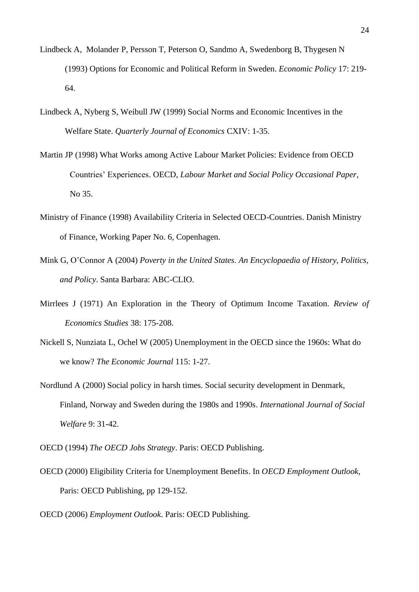- Lindbeck A, Molander P, Persson T, Peterson O, Sandmo A, Swedenborg B, Thygesen N (1993) Options for Economic and Political Reform in Sweden. *Economic Policy* 17: 219- 64.
- Lindbeck A, Nyberg S, Weibull JW (1999) Social Norms and Economic Incentives in the Welfare State. *Quarterly Journal of Economics* CXIV: 1-35.
- Martin JP (1998) What Works among Active Labour Market Policies: Evidence from OECD Countries' Experiences. OECD, *Labour Market and Social Policy Occasional Paper*, No 35.
- Ministry of Finance (1998) Availability Criteria in Selected OECD-Countries. Danish Ministry of Finance, Working Paper No. 6, Copenhagen.
- Mink G, O'Connor A (2004) *Poverty in the United States. An Encyclopaedia of History, Politics, and Policy*. Santa Barbara: ABC-CLIO.
- Mirrlees J (1971) An Exploration in the Theory of Optimum Income Taxation. *Review of Economics Studies* 38: 175-208.
- Nickell S, Nunziata L, Ochel W (2005) Unemployment in the OECD since the 1960s: What do we know? *The Economic Journal* 115: 1-27.
- Nordlund A (2000) Social policy in harsh times. Social security development in Denmark, Finland, Norway and Sweden during the 1980s and 1990s. *International Journal of Social Welfare* 9: 31-42.
- OECD (1994) *The OECD Jobs Strategy*. Paris: OECD Publishing.
- OECD (2000) Eligibility Criteria for Unemployment Benefits. In *OECD Employment Outlook*, Paris: OECD Publishing, pp 129-152.
- OECD (2006) *Employment Outlook*. Paris: OECD Publishing.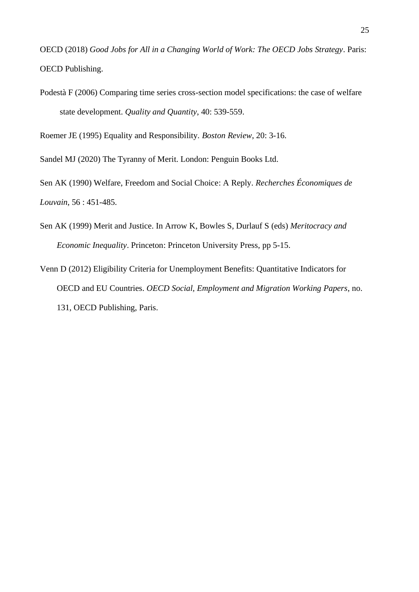OECD (2018) *Good Jobs for All in a Changing World of Work: The OECD Jobs Strategy*. Paris: OECD Publishing.

Podestà F (2006) [Comparing time series cross-section model specifications: the case of welfare](https://link.springer.com/article/10.1007/s11135-005-2076-3)  [state development.](https://link.springer.com/article/10.1007/s11135-005-2076-3) *Quality and Quantity*, 40: 539-559.

Roemer JE (1995) Equality and Responsibility. *Boston Review*, 20: 3-16.

Sandel MJ (2020) The Tyranny of Merit. London: Penguin Books Ltd.

Sen AK (1990) Welfare, Freedom and Social Choice: A Reply. *Recherches Économiques de Louvain*, 56 : 451-485.

- Sen AK (1999) Merit and Justice. In Arrow K, Bowles S, Durlauf S (eds) *Meritocracy and Economic Inequality*. Princeton: Princeton University Press, pp 5-15.
- Venn D (2012) Eligibility Criteria for Unemployment Benefits: Quantitative Indicators for OECD and EU Countries. *OECD Social, Employment and Migration Working Papers*, no. 131, OECD Publishing, Paris.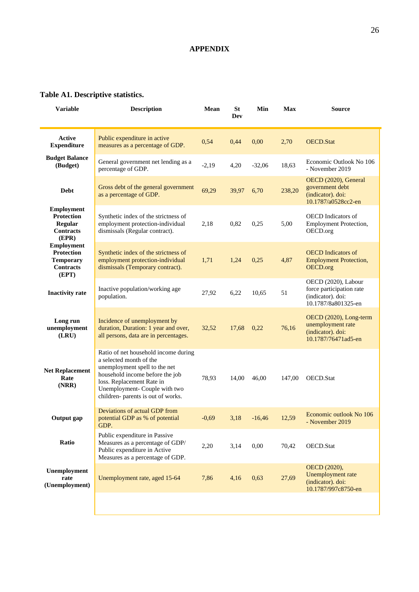### **APPENDIX**

### **Table A1. Descriptive statistics.**

| <b>Variable</b>                                                                         | <b>Description</b>                                                                                                                                                                                                                      | Mean    | <b>St</b><br><b>Dev</b> | Min           | <b>Max</b> | Source                                                                                      |
|-----------------------------------------------------------------------------------------|-----------------------------------------------------------------------------------------------------------------------------------------------------------------------------------------------------------------------------------------|---------|-------------------------|---------------|------------|---------------------------------------------------------------------------------------------|
| <b>Active</b><br><b>Expenditure</b>                                                     | Public expenditure in active<br>measures as a percentage of GDP.                                                                                                                                                                        | 0,54    | 0,44                    | 0,00          | 2,70       | <b>OECD.Stat</b>                                                                            |
| <b>Budget Balance</b><br>(Budget)                                                       | General government net lending as a<br>percentage of GDP.                                                                                                                                                                               | $-2,19$ | 4,20                    | $-32,06$      | 18,63      | Economic Outlook No 106<br>- November 2019                                                  |
| Debt                                                                                    | Gross debt of the general government<br>as a percentage of GDP.                                                                                                                                                                         | 69,29   | 39,97                   | 6,70          | 238,20     | OECD (2020), General<br>government debt<br>(indicator). doi:<br>10.1787/a0528cc2-en         |
| <b>Employment</b><br><b>Protection</b><br>Regular<br><b>Contracts</b><br>(EPR)          | Synthetic index of the strictness of<br>employment protection-individual<br>dismissals (Regular contract).                                                                                                                              | 2,18    | 0,82                    | 0,25          | 5,00       | <b>OECD</b> Indicators of<br>Employment Protection,<br>OECD.org                             |
| <b>Employment</b><br><b>Protection</b><br><b>Temporary</b><br><b>Contracts</b><br>(EPT) | Synthetic index of the strictness of<br>employment protection-individual<br>dismissals (Temporary contract).                                                                                                                            | 1,71    | 1,24                    | 0,25          | 4,87       | <b>OECD</b> Indicators of<br><b>Employment Protection,</b><br>OECD.org                      |
| <b>Inactivity rate</b>                                                                  | Inactive population/working age<br>population.                                                                                                                                                                                          | 27,92   | 6,22                    | 10,65         | 51         | OECD (2020), Labour<br>force participation rate<br>(indicator). doi:<br>10.1787/8a801325-en |
| Long run<br>unemployment<br>(LRU)                                                       | Incidence of unemployment by<br>duration, Duration: 1 year and over,<br>all persons, data are in percentages.                                                                                                                           | 32,52   | 17,68                   | 0,22          | 76,16      | OECD (2020), Long-term<br>unemployment rate<br>(indicator). doi:<br>10.1787/76471ad5-en     |
| <b>Net Replacement</b><br>Rate<br>(NRR)                                                 | Ratio of net household income during<br>a selected month of the<br>unemployment spell to the net<br>household income before the job<br>loss. Replacement Rate in<br>Unemployment- Couple with two<br>children- parents is out of works. | 78,93   | 14,00                   | 46,00         | 147,00     | OECD.Stat                                                                                   |
| Output gap                                                                              | Deviations of actual GDP from<br>potential GDP as % of potential<br>GDP.                                                                                                                                                                | $-0,69$ |                         | $3,18 -16,46$ | 12.59      | Economic outlook No 106<br>- November 2019                                                  |
| Ratio                                                                                   | Public expenditure in Passive<br>Measures as a percentage of GDP/<br>Public expenditure in Active<br>Measures as a percentage of GDP.                                                                                                   | 2,20    | 3,14                    | 0,00          | 70,42      | OECD.Stat                                                                                   |
| Unemployment<br>rate<br>(Unemployment)                                                  | Unemployment rate, aged 15-64                                                                                                                                                                                                           | 7,86    | 4,16                    | 0,63          | 27,69      | OECD (2020),<br>Unemployment rate<br>(indicator). doi:<br>10.1787/997c8750-en               |
|                                                                                         |                                                                                                                                                                                                                                         |         |                         |               |            |                                                                                             |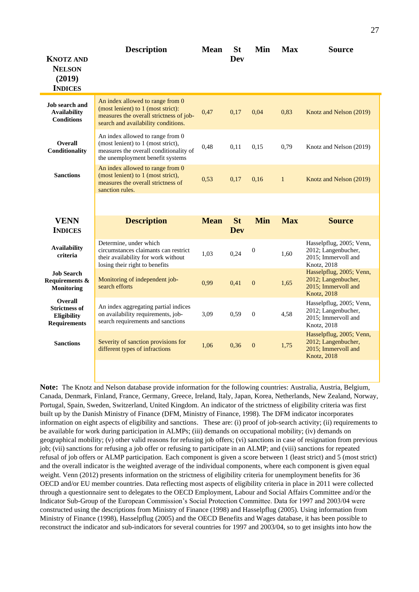| <b>KNOTZ AND</b><br><b>NELSON</b><br>(2019)<br><b>INDICES</b>                       | <b>Description</b>                                                                                                                                       | <b>Mean</b> | <b>St</b><br><b>Dev</b> | Min              | <b>Max</b>   | <b>Source</b>                                                                                 |
|-------------------------------------------------------------------------------------|----------------------------------------------------------------------------------------------------------------------------------------------------------|-------------|-------------------------|------------------|--------------|-----------------------------------------------------------------------------------------------|
| Job search and<br><b>Availability</b><br><b>Conditions</b>                          | An index allowed to range from 0<br>(most lenient) to 1 (most strict):<br>measures the overall strictness of job-<br>search and availability conditions. | 0,47        | 0,17                    | 0,04             | 0,83         | Knotz and Nelson (2019)                                                                       |
| <b>Overall</b><br>Conditionality                                                    | An index allowed to range from 0<br>(most lenient) to 1 (most strict),<br>measures the overall conditionality of<br>the unemployment benefit systems     | 0,48        | 0,11                    | 0.15             | 0,79         | Knotz and Nelson (2019)                                                                       |
| <b>Sanctions</b>                                                                    | An index allowed to range from 0<br>(most lenient) to 1 (most strict),<br>measures the overall strictness of<br>sanction rules.                          | 0,53        | 0,17                    | 0,16             | $\mathbf{1}$ | Knotz and Nelson (2019)                                                                       |
|                                                                                     |                                                                                                                                                          |             |                         |                  |              |                                                                                               |
| <b>VENN</b><br><b>INDICES</b>                                                       | <b>Description</b>                                                                                                                                       | <b>Mean</b> | <b>St</b><br><b>Dev</b> | <b>Min</b>       | <b>Max</b>   | <b>Source</b>                                                                                 |
| <b>Availability</b>                                                                 | Determine, under which                                                                                                                                   |             |                         |                  |              |                                                                                               |
| criteria                                                                            | circumstances claimants can restrict<br>their availability for work without<br>losing their right to benefits                                            | 1,03        | 0,24                    | $\boldsymbol{0}$ | 1,60         | Hasselpflug, 2005; Venn,<br>2012; Langenbucher,<br>2015; Immervoll and<br>Knotz, 2018         |
| <b>Job Search</b><br>Requirements &<br><b>Monitoring</b>                            | Monitoring of independent job-<br>search efforts                                                                                                         | 0,99        | 0,41                    | $\mathbf{0}$     | 1,65         | Hasselpflug, 2005; Venn,<br>2012; Langenbucher,<br>2015; Immervoll and<br><b>Knotz</b> , 2018 |
| <b>Overall</b><br><b>Strictness of</b><br><b>Eligibility</b><br><b>Requirements</b> | An index aggregating partial indices<br>on availability requirements, job-<br>search requirements and sanctions                                          | 3,09        | 0,59                    | $\mathbf{0}$     | 4,58         | Hasselpflug, 2005; Venn,<br>2012; Langenbucher,<br>2015; Immervoll and<br>Knotz, 2018         |
| <b>Sanctions</b>                                                                    | Severity of sanction provisions for<br>different types of infractions                                                                                    | 1,06        | 0,36                    | $\mathbf{0}$     | 1,75         | Hasselpflug, 2005; Venn,<br>2012; Langenbucher,<br>2015; Immervoll and<br><b>Knotz</b> , 2018 |

**Note:** The Knotz and Nelson database provide information for the following countries: Australia, Austria, Belgium, Canada, Denmark, Finland, France, Germany, Greece, Ireland, Italy, Japan, Korea, Netherlands, New Zealand, Norway, Portugal, Spain, Sweden, Switzerland, United Kingdom. An indicator of the strictness of eligibility criteria was first built up by the Danish Ministry of Finance (DFM, Ministry of Finance, 1998). The DFM indicator incorporates information on eight aspects of eligibility and sanctions. These are: (i) proof of job-search activity; (ii) requirements to be available for work during participation in ALMPs; (iii) demands on occupational mobility; (iv) demands on geographical mobility; (v) other valid reasons for refusing job offers; (vi) sanctions in case of resignation from previous job; (vii) sanctions for refusing a job offer or refusing to participate in an ALMP; and (viii) sanctions for repeated refusal of job offers or ALMP participation. Each component is given a score between 1 (least strict) and 5 (most strict) and the overall indicator is the weighted average of the individual components, where each component is given equal weight. Venn (2012) presents information on the strictness of eligibility criteria for unemployment benefits for 36 OECD and/or EU member countries. Data reflecting most aspects of eligibility criteria in place in 2011 were collected through a questionnaire sent to delegates to the OECD Employment, Labour and Social Affairs Committee and/or the Indicator Sub-Group of the European Commission's Social Protection Committee. Data for 1997 and 2003/04 were constructed using the descriptions from Ministry of Finance (1998) and Hasselpflug (2005). Using information from Ministry of Finance (1998), Hasselpflug (2005) and the OECD Benefits and Wages database, it has been possible to reconstruct the indicator and sub-indicators for several countries for 1997 and 2003/04, so to get insights into how the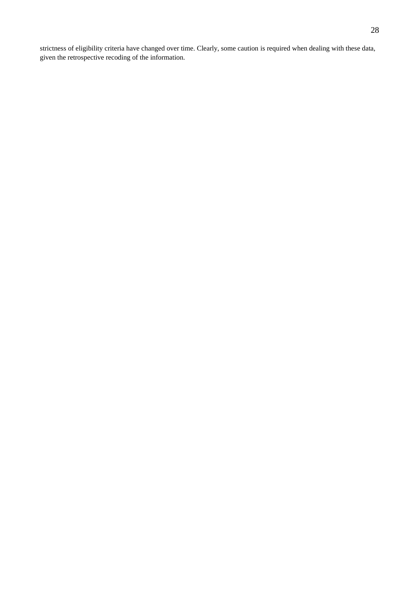strictness of eligibility criteria have changed over time. Clearly, some caution is required when dealing with these data, given the retrospective recoding of the information.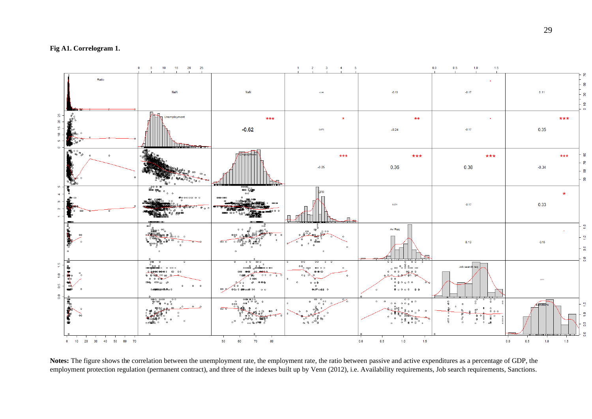**Fig A1. Correlogram 1.**



**Notes:** The figure shows the correlation between the unemployment rate, the employment rate, the ratio between passive and active expenditures as a percentage of GDP, the employment protection regulation (permanent contract), and three of the indexes built up by Venn (2012), i.e. Availability requirements, Job search requirements, Sanctions.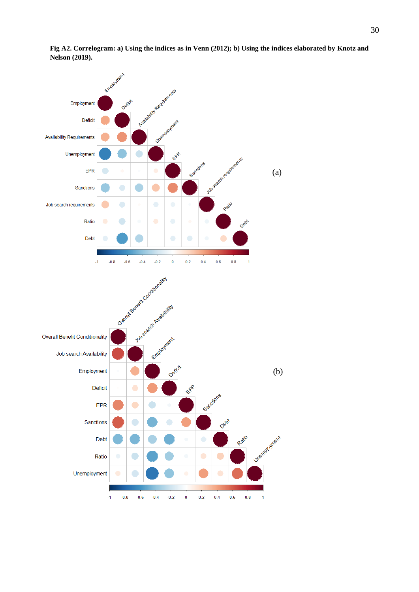

**Fig A2. Correlogram: a) Using the indices as in Venn (2012); b) Using the indices elaborated by Knotz and Nelson (2019).**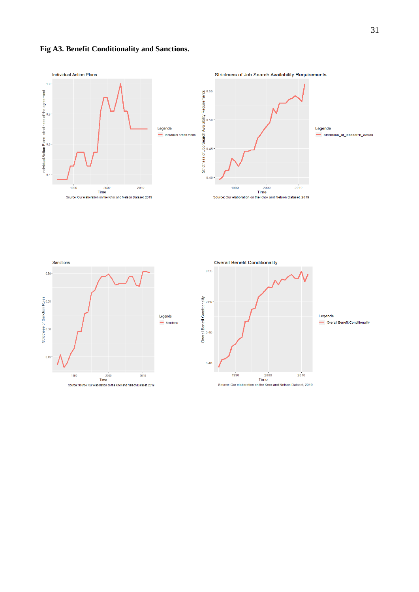### **Fig A3. Benefit Conditionality and Sanctions.**





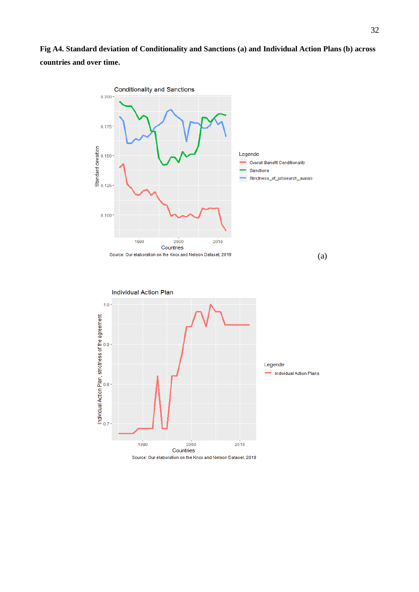**Fig A4. Standard deviation of Conditionality and Sanctions (a) and Individual Action Plans (b) across countries and over time.**



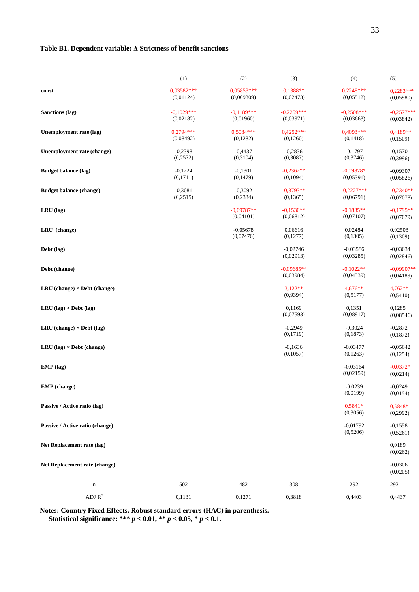#### **Table B1. Dependent variable: Δ Strictness of benefit sanctions**

|                                       | (1)                       | (2)                        | (3)                       | (4)                       | (5)                       |
|---------------------------------------|---------------------------|----------------------------|---------------------------|---------------------------|---------------------------|
| const                                 | $0.03582***$<br>(0,01124) | $0.05853***$<br>(0,009309) | $0,1388**$<br>(0,02473)   | $0,2248***$<br>(0,05512)  | $0,2283***$<br>(0,05980)  |
| Sanctions (lag)                       | $-0.1029***$<br>(0,02182) | $-0.1189***$<br>(0,01960)  | $-0,2259***$<br>(0,03971) | $-0,2508***$<br>(0,03663) | $-0.2577***$<br>(0,03842) |
| Unemployment rate (lag)               | $0.2794***$<br>(0,08492)  | $0.5084***$<br>(0,1282)    | $0.4252***$<br>(0,1260)   | $0.4093***$<br>(0,1418)   | 0,4189**<br>(0,1509)      |
| Unemployment rate (change)            | $-0,2398$<br>(0,2572)     | $-0,4437$<br>(0,3104)      | $-0,2836$<br>(0,3087)     | $-0,1797$<br>(0,3746)     | $-0.1570$<br>(0, 3996)    |
| <b>Budget balance (lag)</b>           | $-0,1224$<br>(0,1711)     | $-0,1301$<br>(0,1479)      | $-0,2362**$<br>(0,1094)   | $-0.09878*$<br>(0,05391)  | $-0,09307$<br>(0,05826)   |
| <b>Budget balance (change)</b>        | $-0,3081$<br>(0,2515)     | $-0,3092$<br>(0, 2334)     | $-0.3793**$<br>(0,1365)   | $-0,2227***$<br>(0,06791) | $-0,2340**$<br>(0,07078)  |
| LRU (lag)                             |                           | $-0.09787**$<br>(0,04101)  | $-0.1530**$<br>(0,06812)  | $-0,1835**$<br>(0,07107)  | $-0.1795**$<br>(0,07079)  |
| LRU (change)                          |                           | $-0,05678$<br>(0,07476)    | 0,06616<br>(0,1277)       | 0,02484<br>(0,1305)       | 0,02508<br>(0,1309)       |
| Debt (lag)                            |                           |                            | $-0,02746$<br>(0,02913)   | $-0,03586$<br>(0,03285)   | $-0,03634$<br>(0,02846)   |
| Debt (change)                         |                           |                            | $-0.09685**$<br>(0,03984) | $-0.1022**$<br>(0,04339)  | $-0.09907**$<br>(0,04189) |
| $LRU$ (change) $\times$ Debt (change) |                           |                            | $3,122**$<br>(0,9394)     | $4,676**$<br>(0,5177)     | $4,762**$<br>(0,5410)     |
| LRU (lag) $\times$ Debt (lag)         |                           |                            | 0.1169<br>(0,07593)       | 0.1351<br>(0,08917)       | 0,1285<br>(0,08546)       |
| $LRU$ (change) $\times$ Debt (lag)    |                           |                            | $-0,2949$<br>(0,1719)     | $-0,3024$<br>(0,1873)     | $-0,2872$<br>(0,1872)     |
| $LRU$ (lag) $\times$ Debt (change)    |                           |                            | $-0,1636$<br>(0,1057)     | $-0,03477$<br>(0,1263)    | $-0,05642$<br>(0,1254)    |
| EMP (lag)                             |                           |                            |                           | $-0,03164$<br>(0,02159)   | $-0.0372*$<br>(0,0214)    |
| EMP (change)                          |                           |                            |                           | $-0.0239$<br>(0,0199)     | $-0,0249$<br>(0,0194)     |
| Passive / Active ratio (lag)          |                           |                            |                           | 0,5841*<br>(0,3056)       | 0,5848*<br>(0,2992)       |
| Passive / Active ratio (change)       |                           |                            |                           | $-0,01792$<br>(0,5206)    | $-0,1558$<br>(0,5261)     |
| Net Replacement rate (lag)            |                           |                            |                           |                           | 0,0189<br>(0,0262)        |
| Net Replacement rate (change)         |                           |                            |                           |                           | $-0,0306$<br>(0,0205)     |
| $\mathbf n$                           | 502                       | 482                        | 308                       | 292                       | 292                       |
| ADJ $\mathbf{R}^2$                    | 0,1131                    | 0,1271                     | 0,3818                    | 0,4403                    | 0,4437                    |

**Notes: Country Fixed Effects. Robust standard errors (HAC) in parenthesis. Statistical significance: \*\*\*** *p* **< 0.01, \*\*** *p* **< 0.05, \*** *p* **< 0.1.**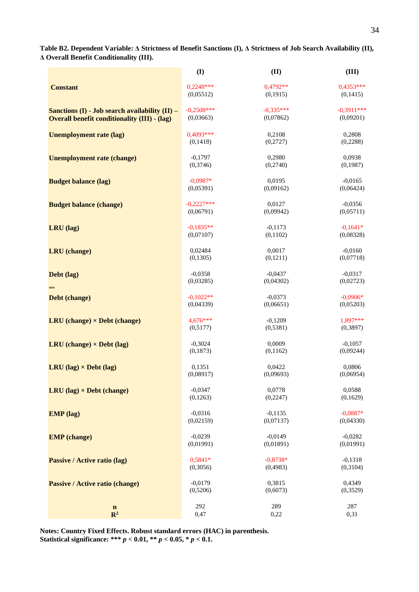**Table B2. Dependent Variable: Δ Strictness of Benefit Sanctions (I), Δ Strictness of Job Search Availability (II), Δ Overall Benefit Conditionality (III).** 

|                                                     | $\mathbf{I}$ | (II)        | (III)        |
|-----------------------------------------------------|--------------|-------------|--------------|
| <b>Constant</b>                                     | $0,2248***$  | $0,4792**$  | $0,4353***$  |
|                                                     | (0,05512)    | (0,1915)    | (0,1415)     |
| Sanctions $(I)$ - Job search availability $(II)$ –  | $-0,2508***$ | $-0.335***$ | $-0,3911***$ |
| <b>Overall benefit conditionality (III) - (lag)</b> | (0,03663)    | (0,07862)   | (0,09201)    |
| <b>Unemployment rate (lag)</b>                      | $0,4093***$  | 0,2108      | 0,2808       |
|                                                     | (0, 1418)    | (0,2727)    | (0,2288)     |
| <b>Unemployment rate (change)</b>                   | $-0,1797$    | 0,2980      | 0,0938       |
|                                                     | (0,3746)     | (0,2740)    | (0, 1987)    |
| <b>Budget balance (lag)</b>                         | $-0,0987*$   | 0,0195      | $-0,0165$    |
|                                                     | (0,05391)    | (0,09162)   | (0,06424)    |
| <b>Budget balance (change)</b>                      | $-0.2227***$ | 0,0127      | $-0,0356$    |
|                                                     | (0,06791)    | (0,09942)   | (0,05711)    |
| LRU (lag)                                           | $-0,1835**$  | $-0,1173$   | $-0,1641*$   |
|                                                     | (0,07107)    | (0,1102)    | (0,08328)    |
| <b>LRU</b> (change)                                 | 0,02484      | 0,0017      | $-0,0160$    |
|                                                     | (0, 1305)    | (0,1211)    | (0,07718)    |
| Debt (lag)                                          | $-0,0358$    | $-0,0437$   | $-0,0317$    |
|                                                     | (0,03285)    | (0,04302)   | (0,02723)    |
| 4444                                                | $-0.1022**$  | $-0.0373$   | $-0,0906*$   |
| Debt (change)                                       | (0,04339)    | (0,06651)   | (0,05203)    |
| $LRU$ (change) $\times$ Debt (change)               | $4,676***$   | $-0,1209$   | 1,897***     |
|                                                     | (0,5177)     | (0,5381)    | (0, 3897)    |
| $LRU$ (change) $\times$ Debt (lag)                  | $-0,3024$    | 0,0009      | $-0,1057$    |
|                                                     | (0,1873)     | (0,1162)    | (0,09244)    |
| $LRU$ (lag) $\times$ Debt (lag)                     | 0,1351       | 0.0422      | 0,0806       |
|                                                     | (0,08917)    | (0,09693)   | (0,06954)    |
| $LRU$ (lag) $\times$ Debt (change)                  | $-0,0347$    | 0,0778      | 0,0588       |
|                                                     | (0, 1263)    | (0, 2247)   | (0,1629)     |
| <b>EMP</b> (lag)                                    | $-0,0316$    | $-0,1135$   | $-0,0887*$   |
|                                                     | (0,02159)    | (0,07137)   | (0,04330)    |
| <b>EMP</b> (change)                                 | $-0,0239$    | $-0,0149$   | $-0,0282$    |
|                                                     | (0,01991)    | (0,01891)   | (0,01991)    |
| Passive / Active ratio (lag)                        | 0,5841*      | $-0,8738*$  | $-0,1318$    |
|                                                     | (0,3056)     | (0,4983)    | (0,3104)     |
| <b>Passive / Active ratio (change)</b>              | $-0,0179$    | 0,3815      | 0,4349       |
|                                                     | (0,5206)     | (0,6073)    | (0, 3529)    |
| $\mathbf n$                                         | 292          | 289         | 287          |
| $\mathbb{R}^2$                                      | 0,47         | 0,22        | 0,31         |

**Notes: Country Fixed Effects. Robust standard errors (HAC) in parenthesis. Statistical significance: \*\*\*** *p* **< 0.01, \*\*** *p* **< 0.05, \*** *p* **< 0.1.**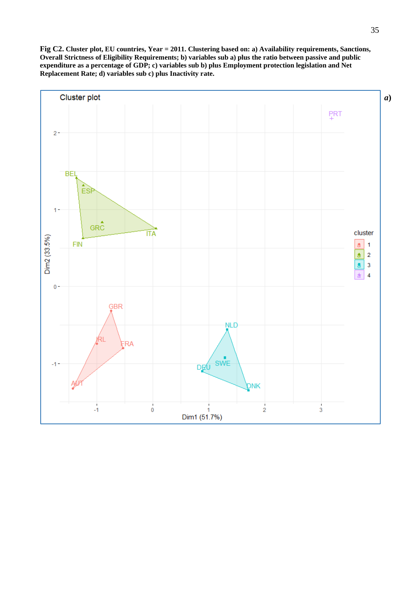**Fig C2. Cluster plot, EU countries, Year = 2011. Clustering based on: a) Availability requirements, Sanctions, Overall Strictness of Eligibility Requirements; b) variables sub a) plus the ratio between passive and public expenditure as a percentage of GDP; c) variables sub b) plus Employment protection legislation and Net Replacement Rate; d) variables sub c) plus Inactivity rate.**

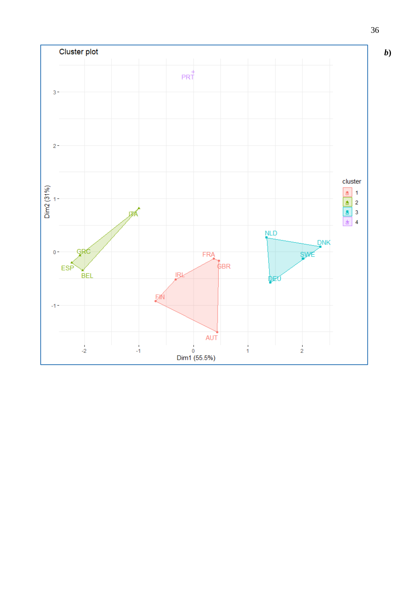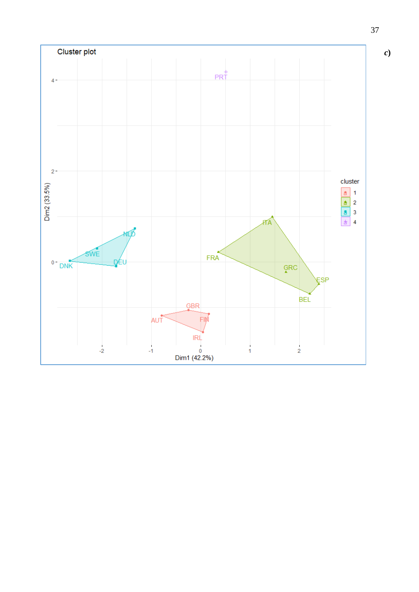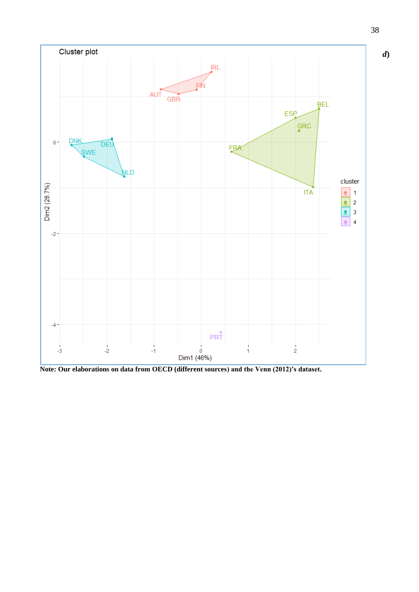

**Note: Our elaborations on data from OECD (different sources) and the Venn (2012)'s dataset.**

38

*d***)**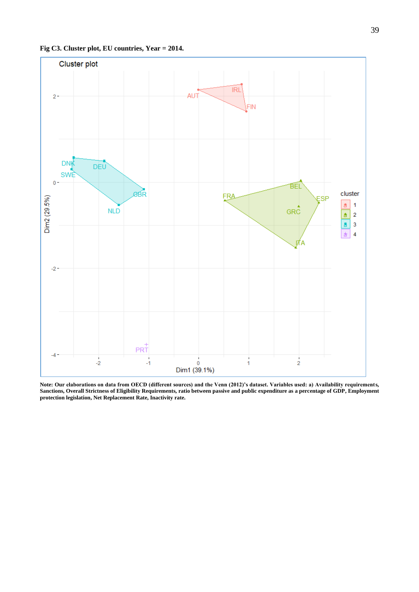

**Note: Our elaborations on data from OECD (different sources) and the Venn (2012)'s dataset. Variables used: a) Availability requirements, Sanctions, Overall Strictness of Eligibility Requirements, ratio between passive and public expenditure as a percentage of GDP, Employment protection legislation, Net Replacement Rate, Inactivity rate.**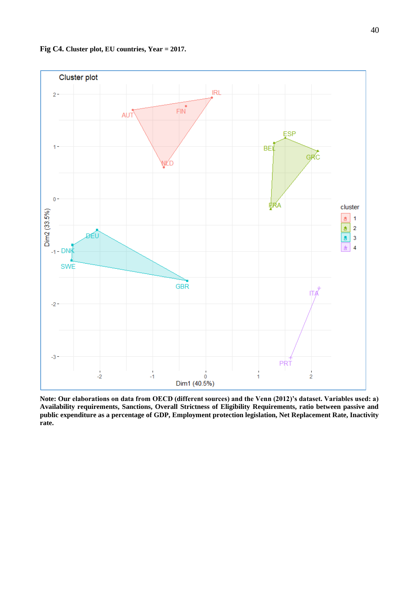

**Fig C4. Cluster plot, EU countries, Year = 2017.**

**Note: Our elaborations on data from OECD (different sources) and the Venn (2012)'s dataset. Variables used: a) Availability requirements, Sanctions, Overall Strictness of Eligibility Requirements, ratio between passive and public expenditure as a percentage of GDP, Employment protection legislation, Net Replacement Rate, Inactivity rate.**